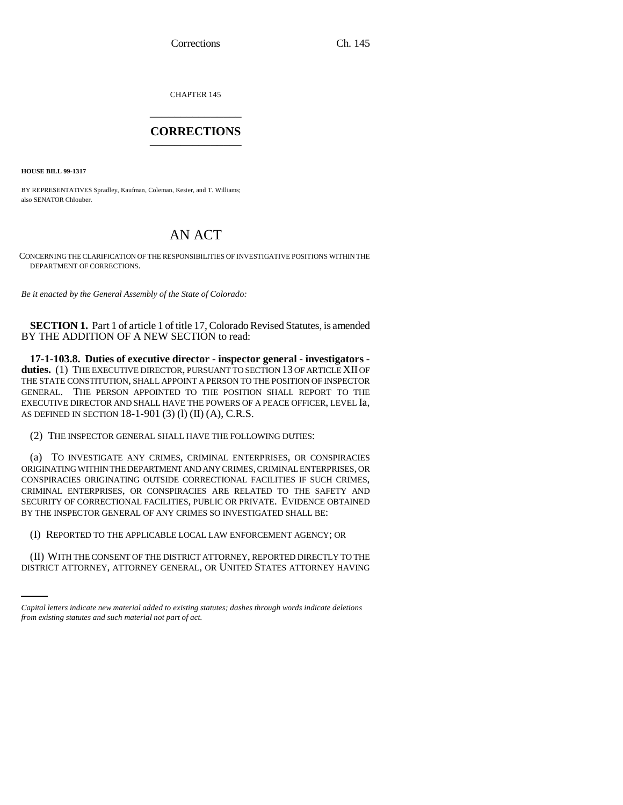Corrections Ch. 145

CHAPTER 145 \_\_\_\_\_\_\_\_\_\_\_\_\_\_\_

## **CORRECTIONS** \_\_\_\_\_\_\_\_\_\_\_\_\_\_\_

**HOUSE BILL 99-1317** 

BY REPRESENTATIVES Spradley, Kaufman, Coleman, Kester, and T. Williams; also SENATOR Chlouber.

## AN ACT

CONCERNING THE CLARIFICATION OF THE RESPONSIBILITIES OF INVESTIGATIVE POSITIONS WITHIN THE DEPARTMENT OF CORRECTIONS.

*Be it enacted by the General Assembly of the State of Colorado:*

**SECTION 1.** Part 1 of article 1 of title 17, Colorado Revised Statutes, is amended BY THE ADDITION OF A NEW SECTION to read:

**17-1-103.8. Duties of executive director - inspector general - investigators duties.** (1) THE EXECUTIVE DIRECTOR, PURSUANT TO SECTION 13 OF ARTICLE XII OF THE STATE CONSTITUTION, SHALL APPOINT A PERSON TO THE POSITION OF INSPECTOR GENERAL. THE PERSON APPOINTED TO THE POSITION SHALL REPORT TO THE EXECUTIVE DIRECTOR AND SHALL HAVE THE POWERS OF A PEACE OFFICER, LEVEL Ia, AS DEFINED IN SECTION 18-1-901 (3) (l) (II) (A), C.R.S.

(2) THE INSPECTOR GENERAL SHALL HAVE THE FOLLOWING DUTIES:

(a) TO INVESTIGATE ANY CRIMES, CRIMINAL ENTERPRISES, OR CONSPIRACIES ORIGINATING WITHIN THE DEPARTMENT AND ANY CRIMES, CRIMINAL ENTERPRISES, OR CONSPIRACIES ORIGINATING OUTSIDE CORRECTIONAL FACILITIES IF SUCH CRIMES, CRIMINAL ENTERPRISES, OR CONSPIRACIES ARE RELATED TO THE SAFETY AND SECURITY OF CORRECTIONAL FACILITIES, PUBLIC OR PRIVATE. EVIDENCE OBTAINED BY THE INSPECTOR GENERAL OF ANY CRIMES SO INVESTIGATED SHALL BE:

 $\mathcal{L}$ (I) REPORTED TO THE APPLICABLE LOCAL LAW ENFORCEMENT AGENCY; OR

(II) WITH THE CONSENT OF THE DISTRICT ATTORNEY, REPORTED DIRECTLY TO THE DISTRICT ATTORNEY, ATTORNEY GENERAL, OR UNITED STATES ATTORNEY HAVING

*Capital letters indicate new material added to existing statutes; dashes through words indicate deletions from existing statutes and such material not part of act.*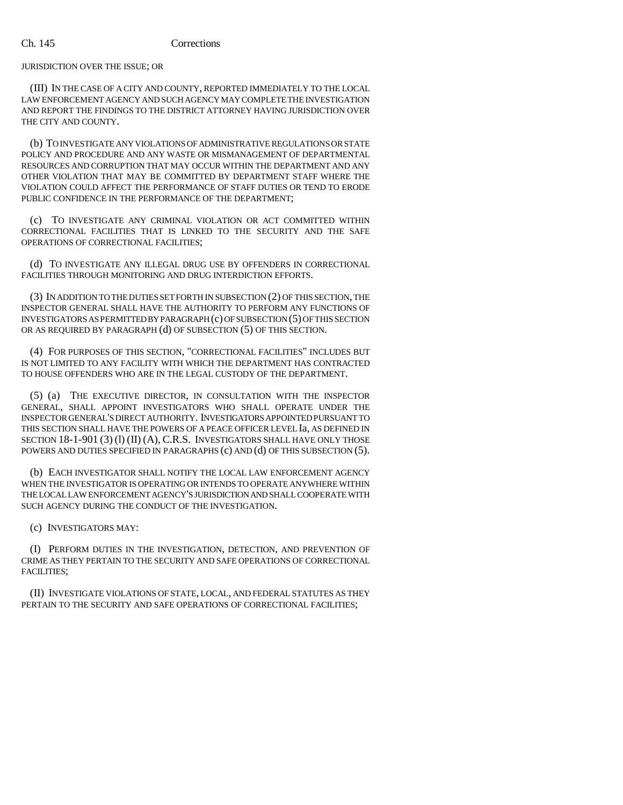JURISDICTION OVER THE ISSUE; OR

(III) IN THE CASE OF A CITY AND COUNTY, REPORTED IMMEDIATELY TO THE LOCAL LAW ENFORCEMENT AGENCY AND SUCH AGENCY MAY COMPLETE THE INVESTIGATION AND REPORT THE FINDINGS TO THE DISTRICT ATTORNEY HAVING JURISDICTION OVER THE CITY AND COUNTY.

(b) TO INVESTIGATE ANY VIOLATIONS OF ADMINISTRATIVE REGULATIONS OR STATE POLICY AND PROCEDURE AND ANY WASTE OR MISMANAGEMENT OF DEPARTMENTAL RESOURCES AND CORRUPTION THAT MAY OCCUR WITHIN THE DEPARTMENT AND ANY OTHER VIOLATION THAT MAY BE COMMITTED BY DEPARTMENT STAFF WHERE THE VIOLATION COULD AFFECT THE PERFORMANCE OF STAFF DUTIES OR TEND TO ERODE PUBLIC CONFIDENCE IN THE PERFORMANCE OF THE DEPARTMENT;

(c) TO INVESTIGATE ANY CRIMINAL VIOLATION OR ACT COMMITTED WITHIN CORRECTIONAL FACILITIES THAT IS LINKED TO THE SECURITY AND THE SAFE OPERATIONS OF CORRECTIONAL FACILITIES;

(d) TO INVESTIGATE ANY ILLEGAL DRUG USE BY OFFENDERS IN CORRECTIONAL FACILITIES THROUGH MONITORING AND DRUG INTERDICTION EFFORTS.

(3) IN ADDITION TO THE DUTIES SET FORTH IN SUBSECTION (2) OF THIS SECTION, THE INSPECTOR GENERAL SHALL HAVE THE AUTHORITY TO PERFORM ANY FUNCTIONS OF INVESTIGATORS AS PERMITTED BY PARAGRAPH (c) OF SUBSECTION (5) OF THIS SECTION OR AS REQUIRED BY PARAGRAPH (d) OF SUBSECTION (5) OF THIS SECTION.

(4) FOR PURPOSES OF THIS SECTION, "CORRECTIONAL FACILITIES" INCLUDES BUT IS NOT LIMITED TO ANY FACILITY WITH WHICH THE DEPARTMENT HAS CONTRACTED TO HOUSE OFFENDERS WHO ARE IN THE LEGAL CUSTODY OF THE DEPARTMENT.

(5) (a) THE EXECUTIVE DIRECTOR, IN CONSULTATION WITH THE INSPECTOR GENERAL, SHALL APPOINT INVESTIGATORS WHO SHALL OPERATE UNDER THE INSPECTOR GENERAL'S DIRECT AUTHORITY. INVESTIGATORS APPOINTED PURSUANT TO THIS SECTION SHALL HAVE THE POWERS OF A PEACE OFFICER LEVEL Ia, AS DEFINED IN SECTION 18-1-901 (3) (1) (II) (A), C.R.S. INVESTIGATORS SHALL HAVE ONLY THOSE POWERS AND DUTIES SPECIFIED IN PARAGRAPHS (c) AND (d) OF THIS SUBSECTION (5).

(b) EACH INVESTIGATOR SHALL NOTIFY THE LOCAL LAW ENFORCEMENT AGENCY WHEN THE INVESTIGATOR IS OPERATING OR INTENDS TO OPERATE ANYWHERE WITHIN THE LOCAL LAW ENFORCEMENT AGENCY'S JURISDICTION AND SHALL COOPERATE WITH SUCH AGENCY DURING THE CONDUCT OF THE INVESTIGATION.

(c) INVESTIGATORS MAY:

(I) PERFORM DUTIES IN THE INVESTIGATION, DETECTION, AND PREVENTION OF CRIME AS THEY PERTAIN TO THE SECURITY AND SAFE OPERATIONS OF CORRECTIONAL FACILITIES;

(II) INVESTIGATE VIOLATIONS OF STATE, LOCAL, AND FEDERAL STATUTES AS THEY PERTAIN TO THE SECURITY AND SAFE OPERATIONS OF CORRECTIONAL FACILITIES;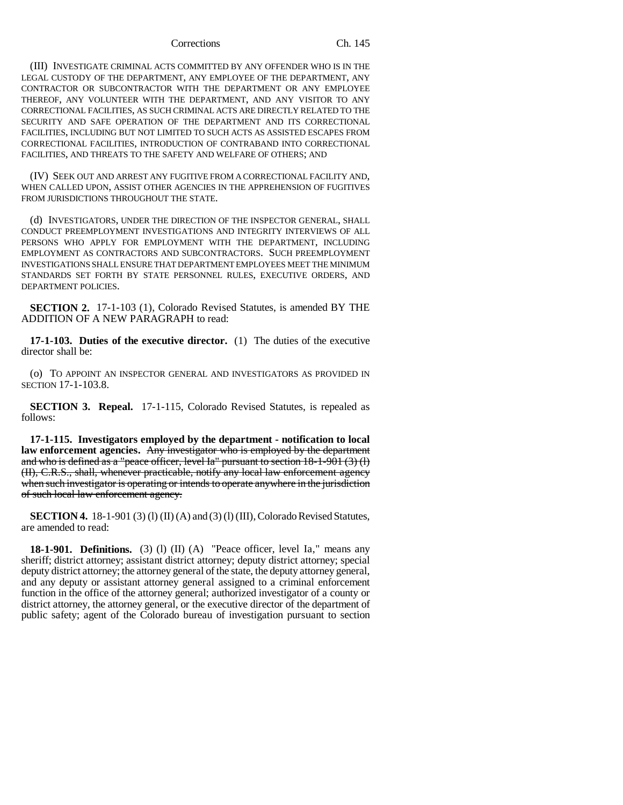## Corrections Ch. 145

(III) INVESTIGATE CRIMINAL ACTS COMMITTED BY ANY OFFENDER WHO IS IN THE LEGAL CUSTODY OF THE DEPARTMENT, ANY EMPLOYEE OF THE DEPARTMENT, ANY CONTRACTOR OR SUBCONTRACTOR WITH THE DEPARTMENT OR ANY EMPLOYEE THEREOF, ANY VOLUNTEER WITH THE DEPARTMENT, AND ANY VISITOR TO ANY CORRECTIONAL FACILITIES, AS SUCH CRIMINAL ACTS ARE DIRECTLY RELATED TO THE SECURITY AND SAFE OPERATION OF THE DEPARTMENT AND ITS CORRECTIONAL FACILITIES, INCLUDING BUT NOT LIMITED TO SUCH ACTS AS ASSISTED ESCAPES FROM CORRECTIONAL FACILITIES, INTRODUCTION OF CONTRABAND INTO CORRECTIONAL FACILITIES, AND THREATS TO THE SAFETY AND WELFARE OF OTHERS; AND

(IV) SEEK OUT AND ARREST ANY FUGITIVE FROM A CORRECTIONAL FACILITY AND, WHEN CALLED UPON, ASSIST OTHER AGENCIES IN THE APPREHENSION OF FUGITIVES FROM JURISDICTIONS THROUGHOUT THE STATE.

(d) INVESTIGATORS, UNDER THE DIRECTION OF THE INSPECTOR GENERAL, SHALL CONDUCT PREEMPLOYMENT INVESTIGATIONS AND INTEGRITY INTERVIEWS OF ALL PERSONS WHO APPLY FOR EMPLOYMENT WITH THE DEPARTMENT, INCLUDING EMPLOYMENT AS CONTRACTORS AND SUBCONTRACTORS. SUCH PREEMPLOYMENT INVESTIGATIONS SHALL ENSURE THAT DEPARTMENT EMPLOYEES MEET THE MINIMUM STANDARDS SET FORTH BY STATE PERSONNEL RULES, EXECUTIVE ORDERS, AND DEPARTMENT POLICIES.

**SECTION 2.** 17-1-103 (1), Colorado Revised Statutes, is amended BY THE ADDITION OF A NEW PARAGRAPH to read:

**17-1-103. Duties of the executive director.** (1) The duties of the executive director shall be:

(o) TO APPOINT AN INSPECTOR GENERAL AND INVESTIGATORS AS PROVIDED IN SECTION 17-1-103.8.

**SECTION 3. Repeal.** 17-1-115, Colorado Revised Statutes, is repealed as follows:

**17-1-115. Investigators employed by the department - notification to local law enforcement agencies.** Any investigator who is employed by the department and who is defined as a "peace officer, level Ia" pursuant to section 18-1-901 (3) (l) (II), C.R.S., shall, whenever practicable, notify any local law enforcement agency when such investigator is operating or intends to operate anywhere in the jurisdiction of such local law enforcement agency.

**SECTION 4.** 18-1-901 (3) (1) (II) (A) and (3) (1) (III), Colorado Revised Statutes, are amended to read:

**18-1-901. Definitions.** (3) (1) (II) (A) "Peace officer, level Ia," means any sheriff; district attorney; assistant district attorney; deputy district attorney; special deputy district attorney; the attorney general of the state, the deputy attorney general, and any deputy or assistant attorney general assigned to a criminal enforcement function in the office of the attorney general; authorized investigator of a county or district attorney, the attorney general, or the executive director of the department of public safety; agent of the Colorado bureau of investigation pursuant to section